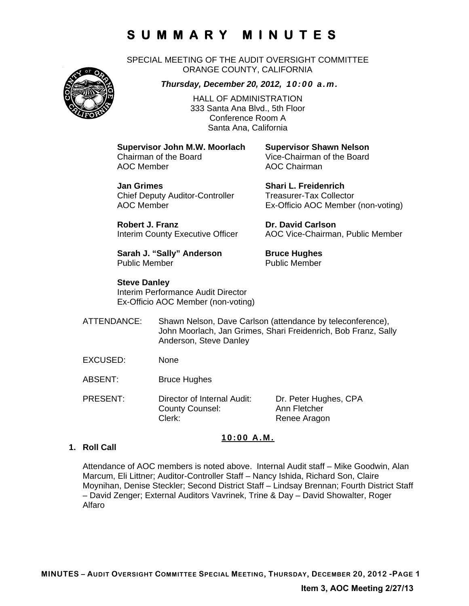# **SUMMARY MINUTES**

SPECIAL MEETING OF THE AUDIT OVERSIGHT COMMITTEE ORANGE COUNTY, CALIFORNIA



*Thursday, December 20, 2012, 10:00 a.m.*

HALL OF ADMINISTRATION 333 Santa Ana Blvd., 5th Floor Conference Room A Santa Ana, California

**Supervisor John M.W. Moorlach Supervisor Shawn Nelson**  AOC Member AOC Chairman

Vice-Chairman of the Board

**Jan Grimes Shari L. Freidenrich**  Chief Deputy Auditor-Controller Treasurer-Tax Collector

AOC Member Ex-Officio AOC Member (non-voting)

**Robert J. Franz Dr. David Carlson** Interim County Executive Officer AOC Vice-Chairman, Public Member

**Sarah J. "Sally" Anderson Bruce Hughes** Public Member **Public Member** 

**Steve Danley** 

Interim Performance Audit Director

Ex-Officio AOC Member (non-voting)

- ATTENDANCE: Shawn Nelson, Dave Carlson (attendance by teleconference), John Moorlach, Jan Grimes, Shari Freidenrich, Bob Franz, Sally Anderson, Steve Danley
- EXCUSED: None
- ABSENT: Bruce Hughes

PRESENT: Director of Internal Audit: Dr. Peter Hughes, CPA County Counsel: Ann Fletcher Clerk: Renee Aragon

### **10:00 A.M.**

### **1. Roll Call**

Attendance of AOC members is noted above. Internal Audit staff – Mike Goodwin, Alan Marcum, Eli Littner; Auditor-Controller Staff – Nancy Ishida, Richard Son, Claire Moynihan, Denise Steckler; Second District Staff – Lindsay Brennan; Fourth District Staff – David Zenger; External Auditors Vavrinek, Trine & Day – David Showalter, Roger Alfaro

### **Item 3, AOC Meeting 2/27/13**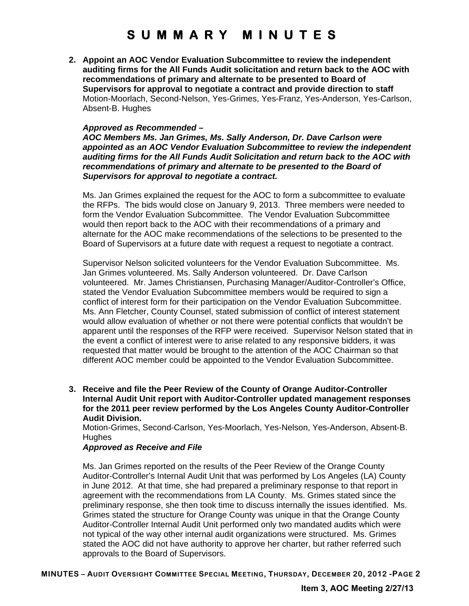# **SUMMARY MINUTES**

**2. Appoint an AOC Vendor Evaluation Subcommittee to review the independent auditing firms for the All Funds Audit solicitation and return back to the AOC with recommendations of primary and alternate to be presented to Board of Supervisors for approval to negotiate a contract and provide direction to staff**  Motion-Moorlach, Second-Nelson, Yes-Grimes, Yes-Franz, Yes-Anderson, Yes-Carlson, Absent-B. Hughes

#### *Approved as Recommended –*

*AOC Members Ms. Jan Grimes, Ms. Sally Anderson, Dr. Dave Carlson were appointed as an AOC Vendor Evaluation Subcommittee to review the independent auditing firms for the All Funds Audit Solicitation and return back to the AOC with recommendations of primary and alternate to be presented to the Board of Supervisors for approval to negotiate a contract.* 

Ms. Jan Grimes explained the request for the AOC to form a subcommittee to evaluate the RFPs. The bids would close on January 9, 2013. Three members were needed to form the Vendor Evaluation Subcommittee. The Vendor Evaluation Subcommittee would then report back to the AOC with their recommendations of a primary and alternate for the AOC make recommendations of the selections to be presented to the Board of Supervisors at a future date with request a request to negotiate a contract.

Supervisor Nelson solicited volunteers for the Vendor Evaluation Subcommittee. Ms. Jan Grimes volunteered. Ms. Sally Anderson volunteered. Dr. Dave Carlson volunteered. Mr. James Christiansen, Purchasing Manager/Auditor-Controller's Office, stated the Vendor Evaluation Subcommittee members would be required to sign a conflict of interest form for their participation on the Vendor Evaluation Subcommittee. Ms. Ann Fletcher, County Counsel, stated submission of conflict of interest statement would allow evaluation of whether or not there were potential conflicts that wouldn't be apparent until the responses of the RFP were received. Supervisor Nelson stated that in the event a conflict of interest were to arise related to any responsive bidders, it was requested that matter would be brought to the attention of the AOC Chairman so that different AOC member could be appointed to the Vendor Evaluation Subcommittee.

**3. Receive and file the Peer Review of the County of Orange Auditor-Controller Internal Audit Unit report with Auditor-Controller updated management responses for the 2011 peer review performed by the Los Angeles County Auditor-Controller Audit Division.** 

Motion-Grimes, Second-Carlson, Yes-Moorlach, Yes-Nelson, Yes-Anderson, Absent-B. **Hughes** 

#### *Approved as Receive and File*

Ms. Jan Grimes reported on the results of the Peer Review of the Orange County Auditor-Controller's Internal Audit Unit that was performed by Los Angeles (LA) County in June 2012. At that time, she had prepared a preliminary response to that report in agreement with the recommendations from LA County. Ms. Grimes stated since the preliminary response, she then took time to discuss internally the issues identified. Ms. Grimes stated the structure for Orange County was unique in that the Orange County Auditor-Controller Internal Audit Unit performed only two mandated audits which were not typical of the way other internal audit organizations were structured. Ms. Grimes stated the AOC did not have authority to approve her charter, but rather referred such approvals to the Board of Supervisors.

**MINUTES – AUDIT OVERSIGHT COMMITTEE SPECIAL MEETING, THURSDAY, DECEMBER 20, 2012 -PAGE 2**